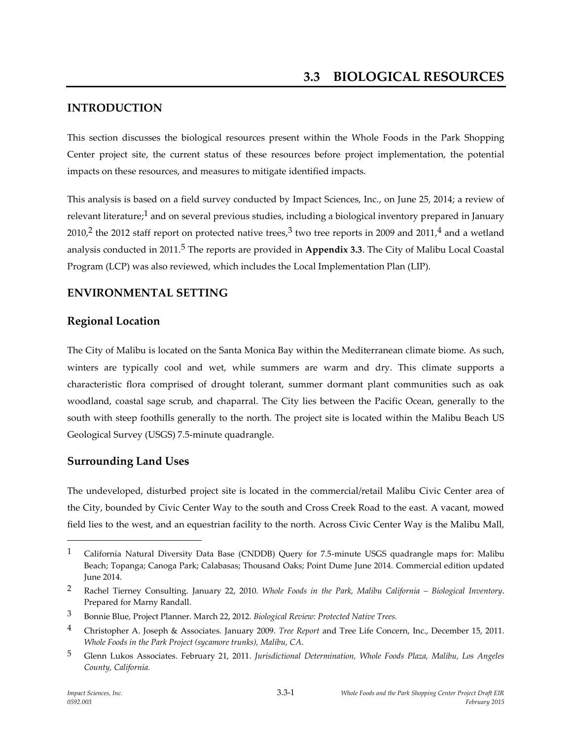# **INTRODUCTION**

This section discusses the biological resources present within the Whole Foods in the Park Shopping Center project site, the current status of these resources before project implementation, the potential impacts on these resources, and measures to mitigate identified impacts.

This analysis is based on a field survey conducted by Impact Sciences, Inc., on June 25, 2014; a review of relevant literature;<sup>1</sup> and on several previous studies, including a biological inventory prepared in January 2010,<sup>2</sup> the 2012 staff report on protected native trees,<sup>3</sup> two tree reports in 2009 and 2011,<sup>4</sup> and a wetland analysis conducted in 2011.5 The reports are provided in **Appendix 3.3**. The City of Malibu Local Coastal Program (LCP) was also reviewed, which includes the Local Implementation Plan (LIP).

# **ENVIRONMENTAL SETTING**

## **Regional Location**

The City of Malibu is located on the Santa Monica Bay within the Mediterranean climate biome. As such, winters are typically cool and wet, while summers are warm and dry. This climate supports a characteristic flora comprised of drought tolerant, summer dormant plant communities such as oak woodland, coastal sage scrub, and chaparral. The City lies between the Pacific Ocean, generally to the south with steep foothills generally to the north. The project site is located within the Malibu Beach US Geological Survey (USGS) 7.5-minute quadrangle.

## **Surrounding Land Uses**

The undeveloped, disturbed project site is located in the commercial/retail Malibu Civic Center area of the City, bounded by Civic Center Way to the south and Cross Creek Road to the east. A vacant, mowed field lies to the west, and an equestrian facility to the north. Across Civic Center Way is the Malibu Mall,

<sup>1</sup> California Natural Diversity Data Base (CNDDB) Query for 7.5-minute USGS quadrangle maps for: Malibu Beach; Topanga; Canoga Park; Calabasas; Thousand Oaks; Point Dume June 2014. Commercial edition updated June 2014.

<sup>2</sup> Rachel Tierney Consulting. January 22, 2010. *Whole Foods in the Park, Malibu California – Biological Inventory*. Prepared for Marny Randall.

<sup>3</sup> Bonnie Blue, Project Planner. March 22, 2012. *Biological Review: Protected Native Trees.*

<sup>4</sup> Christopher A. Joseph & Associates. January 2009. *Tree Report* and Tree Life Concern, Inc., December 15, 2011. *Whole Foods in the Park Project (sycamore trunks), Malibu, CA*.

<sup>5</sup> Glenn Lukos Associates. February 21, 2011. *Jurisdictional Determination, Whole Foods Plaza, Malibu, Los Angeles County, California.*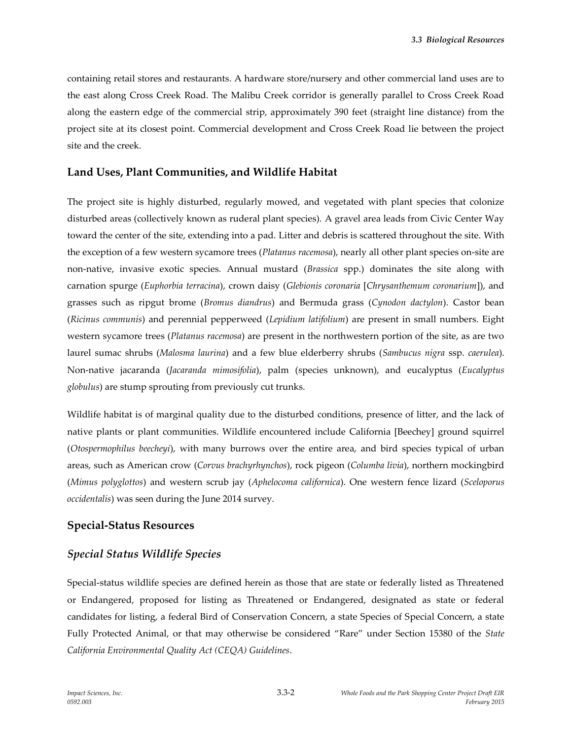containing retail stores and restaurants. A hardware store/nursery and other commercial land uses are to the east along Cross Creek Road. The Malibu Creek corridor is generally parallel to Cross Creek Road along the eastern edge of the commercial strip, approximately 390 feet (straight line distance) from the project site at its closest point. Commercial development and Cross Creek Road lie between the project site and the creek.

## **Land Uses, Plant Communities, and Wildlife Habitat**

The project site is highly disturbed, regularly mowed, and vegetated with plant species that colonize disturbed areas (collectively known as ruderal plant species). A gravel area leads from Civic Center Way toward the center of the site, extending into a pad. Litter and debris is scattered throughout the site. With the exception of a few western sycamore trees (*Platanus racemosa*), nearly all other plant species on-site are non-native, invasive exotic species. Annual mustard (*Brassica* spp.) dominates the site along with carnation spurge (*Euphorbia terracina*), crown daisy (*Glebionis coronaria* [*Chrysanthemum coronarium*]), and grasses such as ripgut brome (*Bromus diandrus*) and Bermuda grass (*Cynodon dactylon*). Castor bean (*Ricinus communis*) and perennial pepperweed (*Lepidium latifolium*) are present in small numbers. Eight western sycamore trees (*Platanus racemosa*) are present in the northwestern portion of the site, as are two laurel sumac shrubs (*Malosma laurina*) and a few blue elderberry shrubs (*Sambucus nigra* ssp. *caerulea*). Non-native jacaranda (*Jacaranda mimosifolia*), palm (species unknown), and eucalyptus (*Eucalyptus globulus*) are stump sprouting from previously cut trunks.

Wildlife habitat is of marginal quality due to the disturbed conditions, presence of litter, and the lack of native plants or plant communities. Wildlife encountered include California [Beechey] ground squirrel (*Otospermophilus beecheyi*), with many burrows over the entire area, and bird species typical of urban areas, such as American crow (*Corvus brachyrhynchos*), rock pigeon (*Columba livia*), northern mockingbird (*Mimus polyglottos*) and western scrub jay (*Aphelocoma californica*). One western fence lizard (*Sceloporus occidentalis*) was seen during the June 2014 survey.

## **Special-Status Resources**

## *Special Status Wildlife Species*

Special-status wildlife species are defined herein as those that are state or federally listed as Threatened or Endangered, proposed for listing as Threatened or Endangered, designated as state or federal candidates for listing, a federal Bird of Conservation Concern, a state Species of Special Concern, a state Fully Protected Animal, or that may otherwise be considered "Rare" under Section 15380 of the *State California Environmental Quality Act (CEQA) Guidelines*.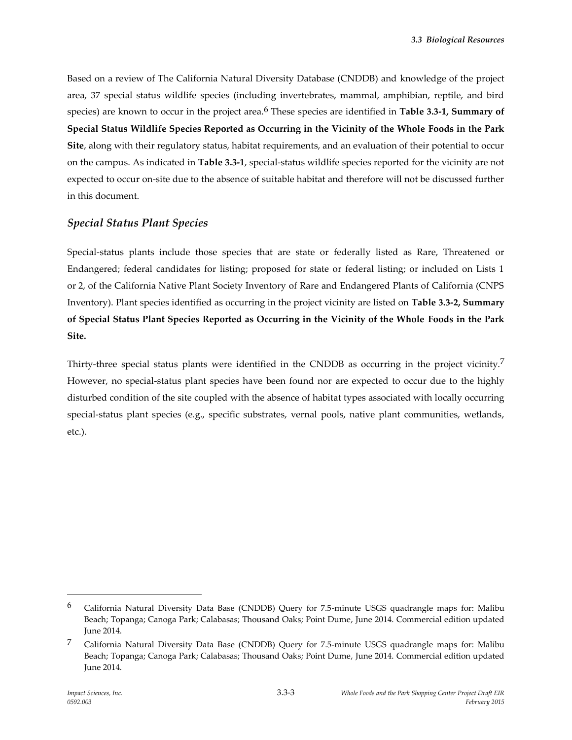Based on a review of The California Natural Diversity Database (CNDDB) and knowledge of the project area, 37 special status wildlife species (including invertebrates, mammal, amphibian, reptile, and bird species) are known to occur in the project area.6 These species are identified in **Table 3.3-1, Summary of Special Status Wildlife Species Reported as Occurring in the Vicinity of the Whole Foods in the Park Site**, along with their regulatory status, habitat requirements, and an evaluation of their potential to occur on the campus. As indicated in **Table 3.3-1**, special-status wildlife species reported for the vicinity are not expected to occur on-site due to the absence of suitable habitat and therefore will not be discussed further in this document.

#### *Special Status Plant Species*

Special-status plants include those species that are state or federally listed as Rare, Threatened or Endangered; federal candidates for listing; proposed for state or federal listing; or included on Lists 1 or 2, of the California Native Plant Society Inventory of Rare and Endangered Plants of California (CNPS Inventory). Plant species identified as occurring in the project vicinity are listed on **Table 3.3-2, Summary of Special Status Plant Species Reported as Occurring in the Vicinity of the Whole Foods in the Park Site.**

Thirty-three special status plants were identified in the CNDDB as occurring in the project vicinity.<sup>7</sup> However, no special-status plant species have been found nor are expected to occur due to the highly disturbed condition of the site coupled with the absence of habitat types associated with locally occurring special-status plant species (e.g., specific substrates, vernal pools, native plant communities, wetlands, etc.).

<sup>6</sup> California Natural Diversity Data Base (CNDDB) Query for 7.5-minute USGS quadrangle maps for: Malibu Beach; Topanga; Canoga Park; Calabasas; Thousand Oaks; Point Dume, June 2014. Commercial edition updated June 2014.

<sup>7</sup> California Natural Diversity Data Base (CNDDB) Query for 7.5-minute USGS quadrangle maps for: Malibu Beach; Topanga; Canoga Park; Calabasas; Thousand Oaks; Point Dume, June 2014. Commercial edition updated June 2014.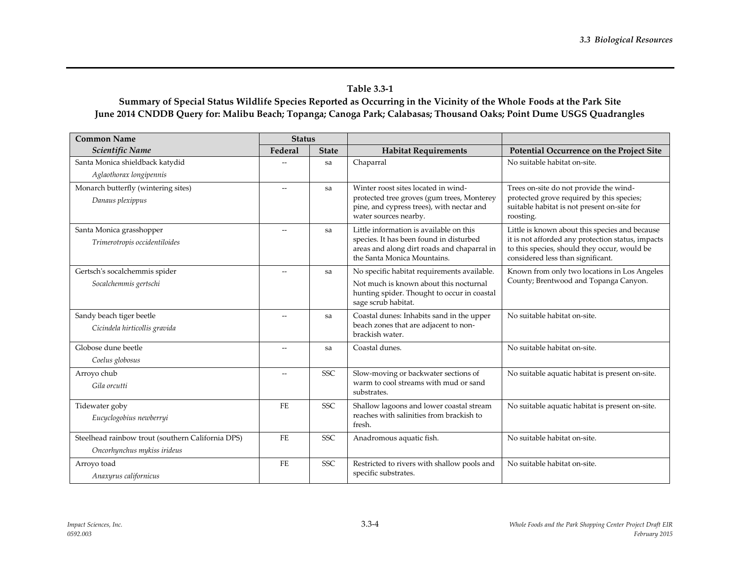#### **Table 3.3-1**

## **Summary of Special Status Wildlife Species Reported as Occurring in the Vicinity of the Whole Foods at the Park Site June 2014 CNDDB Query for: Malibu Beach; Topanga; Canoga Park; Calabasas; Thousand Oaks; Point Dume USGS Quadrangles**

| <b>Common Name</b>                                      | <b>Status</b>  |              |                                                                                                                                |                                                                                                                                        |
|---------------------------------------------------------|----------------|--------------|--------------------------------------------------------------------------------------------------------------------------------|----------------------------------------------------------------------------------------------------------------------------------------|
| Scientific Name                                         | Federal        | <b>State</b> | <b>Habitat Requirements</b>                                                                                                    | Potential Occurrence on the Project Site                                                                                               |
| Santa Monica shieldback katydid                         |                | sa           | Chaparral                                                                                                                      | No suitable habitat on-site.                                                                                                           |
| Aglaothorax longipennis                                 |                |              |                                                                                                                                |                                                                                                                                        |
| Monarch butterfly (wintering sites)<br>Danaus plexippus |                | sa           | Winter roost sites located in wind-<br>protected tree groves (gum trees, Monterey<br>pine, and cypress trees), with nectar and | Trees on-site do not provide the wind-<br>protected grove required by this species;<br>suitable habitat is not present on-site for     |
|                                                         |                |              | water sources nearby.                                                                                                          | roosting.                                                                                                                              |
| Santa Monica grasshopper                                |                | sa           | Little information is available on this                                                                                        | Little is known about this species and because                                                                                         |
| Trimerotropis occidentiloides                           |                |              | species. It has been found in disturbed<br>areas and along dirt roads and chaparral in<br>the Santa Monica Mountains.          | it is not afforded any protection status, impacts<br>to this species, should they occur, would be<br>considered less than significant. |
| Gertsch's socalchemmis spider                           |                | sa           | No specific habitat requirements available.                                                                                    | Known from only two locations in Los Angeles                                                                                           |
| Socalchemmis gertschi                                   |                |              | Not much is known about this nocturnal<br>hunting spider. Thought to occur in coastal<br>sage scrub habitat.                   | County; Brentwood and Topanga Canyon.                                                                                                  |
| Sandy beach tiger beetle                                |                | sa           | Coastal dunes: Inhabits sand in the upper                                                                                      | No suitable habitat on-site.                                                                                                           |
| Cicindela hirticollis gravida                           |                |              | beach zones that are adjacent to non-<br>brackish water.                                                                       |                                                                                                                                        |
| Globose dune beetle                                     |                | sa           | Coastal dunes.                                                                                                                 | No suitable habitat on-site.                                                                                                           |
| Coelus globosus                                         |                |              |                                                                                                                                |                                                                                                                                        |
| Arroyo chub                                             | $\overline{a}$ | <b>SSC</b>   | Slow-moving or backwater sections of                                                                                           | No suitable aquatic habitat is present on-site.                                                                                        |
| Gila orcutti                                            |                |              | warm to cool streams with mud or sand<br>substrates.                                                                           |                                                                                                                                        |
| Tidewater goby                                          | FE             | <b>SSC</b>   | Shallow lagoons and lower coastal stream                                                                                       | No suitable aquatic habitat is present on-site.                                                                                        |
| Eucyclogobius newberryi                                 |                |              | reaches with salinities from brackish to<br>fresh.                                                                             |                                                                                                                                        |
| Steelhead rainbow trout (southern California DPS)       | <b>FE</b>      | SSC.         | Anadromous aquatic fish.                                                                                                       | No suitable habitat on-site.                                                                                                           |
| Oncorhynchus mykiss irideus                             |                |              |                                                                                                                                |                                                                                                                                        |
| Arroyo toad                                             | <b>FE</b>      | <b>SSC</b>   | Restricted to rivers with shallow pools and                                                                                    | No suitable habitat on-site.                                                                                                           |
| Anaxyrus californicus                                   |                |              | specific substrates.                                                                                                           |                                                                                                                                        |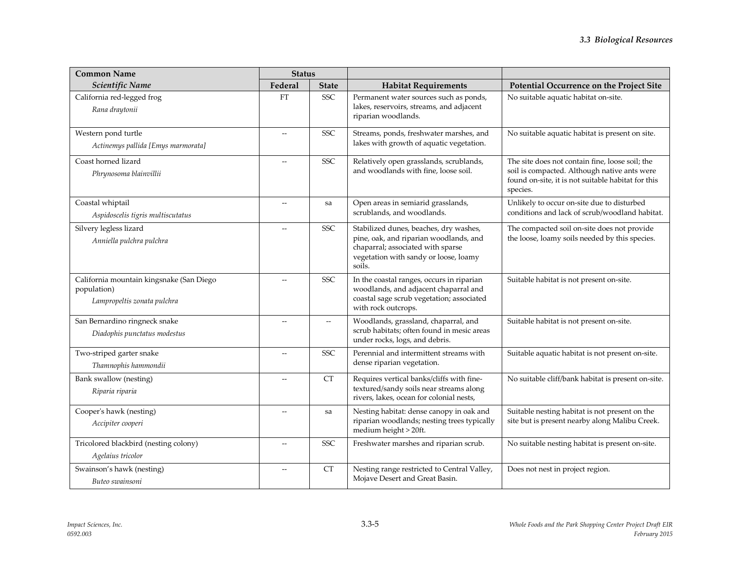| <b>Common Name</b>                                                                     | <b>Status</b>            |              |                                                                                                                                                                          |                                                                                                                                                                   |  |
|----------------------------------------------------------------------------------------|--------------------------|--------------|--------------------------------------------------------------------------------------------------------------------------------------------------------------------------|-------------------------------------------------------------------------------------------------------------------------------------------------------------------|--|
| Scientific Name                                                                        | Federal                  | <b>State</b> | <b>Habitat Requirements</b>                                                                                                                                              | Potential Occurrence on the Project Site                                                                                                                          |  |
| California red-legged frog<br>Rana draytonii                                           | <b>FT</b>                | <b>SSC</b>   | Permanent water sources such as ponds,<br>lakes, reservoirs, streams, and adjacent<br>riparian woodlands.                                                                | No suitable aquatic habitat on-site.                                                                                                                              |  |
| Western pond turtle<br>Actinemys pallida [Emys marmorata]                              |                          | <b>SSC</b>   | Streams, ponds, freshwater marshes, and<br>lakes with growth of aquatic vegetation.                                                                                      | No suitable aquatic habitat is present on site.                                                                                                                   |  |
| Coast horned lizard<br>Phrynosoma blainvillii                                          |                          | SSC          | Relatively open grasslands, scrublands,<br>and woodlands with fine, loose soil.                                                                                          | The site does not contain fine, loose soil; the<br>soil is compacted. Although native ants were<br>found on-site, it is not suitable habitat for this<br>species. |  |
| Coastal whiptail<br>Aspidoscelis tigris multiscutatus                                  | $\overline{\phantom{a}}$ | sa           | Open areas in semiarid grasslands,<br>scrublands, and woodlands.                                                                                                         | Unlikely to occur on-site due to disturbed<br>conditions and lack of scrub/woodland habitat.                                                                      |  |
| Silvery legless lizard<br>Anniella pulchra pulchra                                     |                          | <b>SSC</b>   | Stabilized dunes, beaches, dry washes,<br>pine, oak, and riparian woodlands, and<br>chaparral; associated with sparse<br>vegetation with sandy or loose, loamy<br>soils. | The compacted soil on-site does not provide<br>the loose, loamy soils needed by this species.                                                                     |  |
| California mountain kingsnake (San Diego<br>population)<br>Lampropeltis zonata pulchra |                          | <b>SSC</b>   | In the coastal ranges, occurs in riparian<br>woodlands, and adjacent chaparral and<br>coastal sage scrub vegetation; associated<br>with rock outcrops.                   | Suitable habitat is not present on-site.                                                                                                                          |  |
| San Bernardino ringneck snake<br>Diadophis punctatus modestus                          | $\overline{\phantom{0}}$ | $-$          | Woodlands, grassland, chaparral, and<br>scrub habitats; often found in mesic areas<br>under rocks, logs, and debris.                                                     | Suitable habitat is not present on-site.                                                                                                                          |  |
| Two-striped garter snake<br>Thamnophis hammondii                                       |                          | <b>SSC</b>   | Perennial and intermittent streams with<br>dense riparian vegetation.                                                                                                    | Suitable aquatic habitat is not present on-site.                                                                                                                  |  |
| Bank swallow (nesting)<br>Riparia riparia                                              | $\overline{a}$           | CT           | Requires vertical banks/cliffs with fine-<br>textured/sandy soils near streams along<br>rivers, lakes, ocean for colonial nests,                                         | No suitable cliff/bank habitat is present on-site.                                                                                                                |  |
| Cooper's hawk (nesting)<br>Accipiter cooperi                                           | $\overline{\phantom{a}}$ | sa           | Nesting habitat: dense canopy in oak and<br>riparian woodlands; nesting trees typically<br>medium height > 20ft.                                                         | Suitable nesting habitat is not present on the<br>site but is present nearby along Malibu Creek.                                                                  |  |
| Tricolored blackbird (nesting colony)<br>Agelaius tricolor                             |                          | <b>SSC</b>   | Freshwater marshes and riparian scrub.                                                                                                                                   | No suitable nesting habitat is present on-site.                                                                                                                   |  |
| Swainson's hawk (nesting)<br>Buteo swainsoni                                           | $\overline{a}$           | <b>CT</b>    | Nesting range restricted to Central Valley,<br>Mojave Desert and Great Basin.                                                                                            | Does not nest in project region.                                                                                                                                  |  |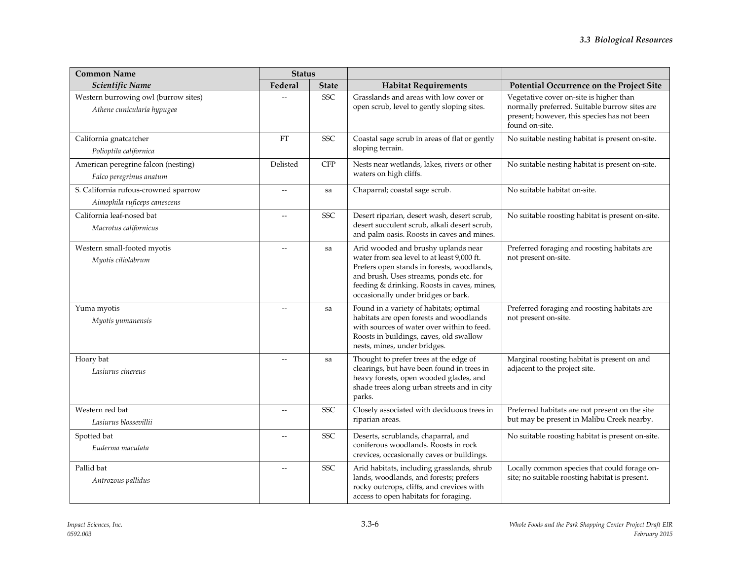| <b>Common Name</b>                                                   | <b>Status</b>            |              |                                                                                                                                                                                                                                                                  |                                                                                                                                                           |
|----------------------------------------------------------------------|--------------------------|--------------|------------------------------------------------------------------------------------------------------------------------------------------------------------------------------------------------------------------------------------------------------------------|-----------------------------------------------------------------------------------------------------------------------------------------------------------|
| Scientific Name                                                      | Federal                  | <b>State</b> | <b>Habitat Requirements</b>                                                                                                                                                                                                                                      | Potential Occurrence on the Project Site                                                                                                                  |
| Western burrowing owl (burrow sites)<br>Athene cunicularia hypugea   |                          | SSC          | Grasslands and areas with low cover or<br>open scrub, level to gently sloping sites.                                                                                                                                                                             | Vegetative cover on-site is higher than<br>normally preferred. Suitable burrow sites are<br>present; however, this species has not been<br>found on-site. |
| California gnatcatcher<br>Polioptila californica                     | FT                       | <b>SSC</b>   | Coastal sage scrub in areas of flat or gently<br>sloping terrain.                                                                                                                                                                                                | No suitable nesting habitat is present on-site.                                                                                                           |
| American peregrine falcon (nesting)<br>Falco peregrinus anatum       | Delisted                 | <b>CFP</b>   | Nests near wetlands, lakes, rivers or other<br>waters on high cliffs.                                                                                                                                                                                            | No suitable nesting habitat is present on-site.                                                                                                           |
| S. California rufous-crowned sparrow<br>Aimophila ruficeps canescens | $-$                      | sa           | Chaparral; coastal sage scrub.                                                                                                                                                                                                                                   | No suitable habitat on-site.                                                                                                                              |
| California leaf-nosed bat<br>Macrotus californicus                   | --                       | <b>SSC</b>   | Desert riparian, desert wash, desert scrub,<br>desert succulent scrub, alkali desert scrub,<br>and palm oasis. Roosts in caves and mines.                                                                                                                        | No suitable roosting habitat is present on-site.                                                                                                          |
| Western small-footed myotis<br>Myotis ciliolabrum                    |                          | sa           | Arid wooded and brushy uplands near<br>water from sea level to at least 9,000 ft.<br>Prefers open stands in forests, woodlands,<br>and brush. Uses streams, ponds etc. for<br>feeding & drinking. Roosts in caves, mines,<br>occasionally under bridges or bark. | Preferred foraging and roosting habitats are<br>not present on-site.                                                                                      |
| Yuma myotis<br>Myotis yumanensis                                     |                          | sa           | Found in a variety of habitats; optimal<br>habitats are open forests and woodlands<br>with sources of water over within to feed.<br>Roosts in buildings, caves, old swallow<br>nests, mines, under bridges.                                                      | Preferred foraging and roosting habitats are<br>not present on-site.                                                                                      |
| Hoary bat<br>Lasiurus cinereus                                       |                          | sa           | Thought to prefer trees at the edge of<br>clearings, but have been found in trees in<br>heavy forests, open wooded glades, and<br>shade trees along urban streets and in city<br>parks.                                                                          | Marginal roosting habitat is present on and<br>adjacent to the project site.                                                                              |
| Western red bat<br>Lasiurus blossevillii                             |                          | <b>SSC</b>   | Closely associated with deciduous trees in<br>riparian areas.                                                                                                                                                                                                    | Preferred habitats are not present on the site<br>but may be present in Malibu Creek nearby.                                                              |
| Spotted bat<br>Euderma maculata                                      | $\overline{\phantom{0}}$ | <b>SSC</b>   | Deserts, scrublands, chaparral, and<br>coniferous woodlands. Roosts in rock<br>crevices, occasionally caves or buildings.                                                                                                                                        | No suitable roosting habitat is present on-site.                                                                                                          |
| Pallid bat<br>Antrozous pallidus                                     |                          | <b>SSC</b>   | Arid habitats, including grasslands, shrub<br>lands, woodlands, and forests; prefers<br>rocky outcrops, cliffs, and crevices with<br>access to open habitats for foraging.                                                                                       | Locally common species that could forage on-<br>site; no suitable roosting habitat is present.                                                            |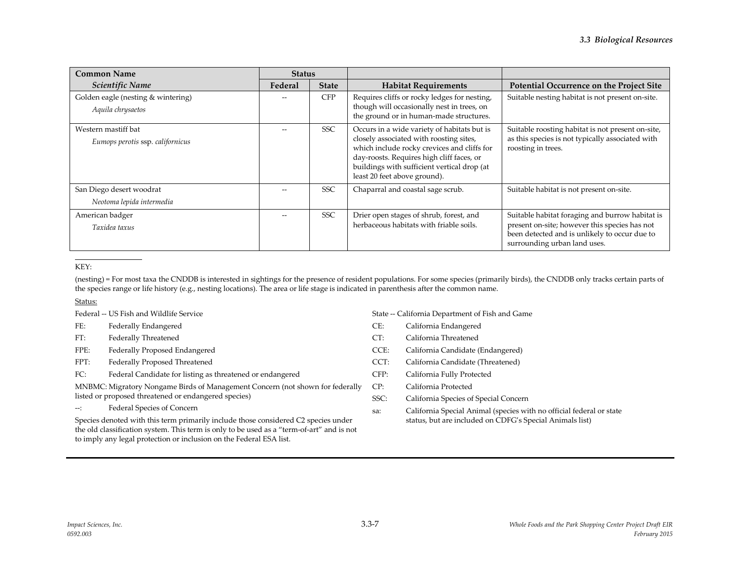| <b>Common Name</b>                                      | <b>Status</b>  |              |                                                                                                                                                                                                                                                                   |                                                                                                                                                                                   |
|---------------------------------------------------------|----------------|--------------|-------------------------------------------------------------------------------------------------------------------------------------------------------------------------------------------------------------------------------------------------------------------|-----------------------------------------------------------------------------------------------------------------------------------------------------------------------------------|
| Scientific Name                                         | <b>Federal</b> | <b>State</b> | <b>Habitat Requirements</b>                                                                                                                                                                                                                                       | Potential Occurrence on the Project Site                                                                                                                                          |
| Golden eagle (nesting & wintering)<br>Aquila chrysaetos |                | <b>CFP</b>   | Requires cliffs or rocky ledges for nesting,<br>though will occasionally nest in trees, on<br>the ground or in human-made structures.                                                                                                                             | Suitable nesting habitat is not present on-site.                                                                                                                                  |
| Western mastiff bat<br>Eumops perotis ssp. californicus |                | <b>SSC</b>   | Occurs in a wide variety of habitats but is<br>closely associated with roosting sites,<br>which include rocky crevices and cliffs for<br>day-roosts. Requires high cliff faces, or<br>buildings with sufficient vertical drop (at<br>least 20 feet above ground). | Suitable roosting habitat is not present on-site,<br>as this species is not typically associated with<br>roosting in trees.                                                       |
| San Diego desert woodrat<br>Neotoma lepida intermedia   |                | <b>SSC</b>   | Chaparral and coastal sage scrub.                                                                                                                                                                                                                                 | Suitable habitat is not present on-site.                                                                                                                                          |
| American badger<br>Taxidea taxus                        |                | <b>SSC</b>   | Drier open stages of shrub, forest, and<br>herbaceous habitats with friable soils.                                                                                                                                                                                | Suitable habitat foraging and burrow habitat is<br>present on-site; however this species has not<br>been detected and is unlikely to occur due to<br>surrounding urban land uses. |

#### KEY:

(nesting) = For most taxa the CNDDB is interested in sightings for the presence of resident populations. For some species (primarily birds), the CNDDB only tracks certain parts of the species range or life history (e.g., nesting locations). The area or life stage is indicated in parenthesis after the common name.

Status:

Federal -- US Fish and Wildlife Service

FE: Federally Endangered

FT: Federally Threatened

FPE: Federally Proposed Endangered

FPT: Federally Proposed Threatened

FC: Federal Candidate for listing as threatened or endangered

MNBMC: Migratory Nongame Birds of Management Concern (not shown for federally listed or proposed threatened or endangered species)

--: Federal Species of Concern

Species denoted with this term primarily include those considered C2 species under the old classification system. This term is only to be used as a "term-of-art" and is not to imply any legal protection or inclusion on the Federal ESA list.

State -- California Department of Fish and Game

- CE: California Endangered
- CT: California Threatened
- CCE: California Candidate (Endangered)
- CCT: California Candidate (Threatened)
- CFP: California Fully Protected

CP: California Protected

SSC: California Species of Special Concern

sa: California Special Animal (species with no official federal or state status, but are included on CDFG's Special Animals list)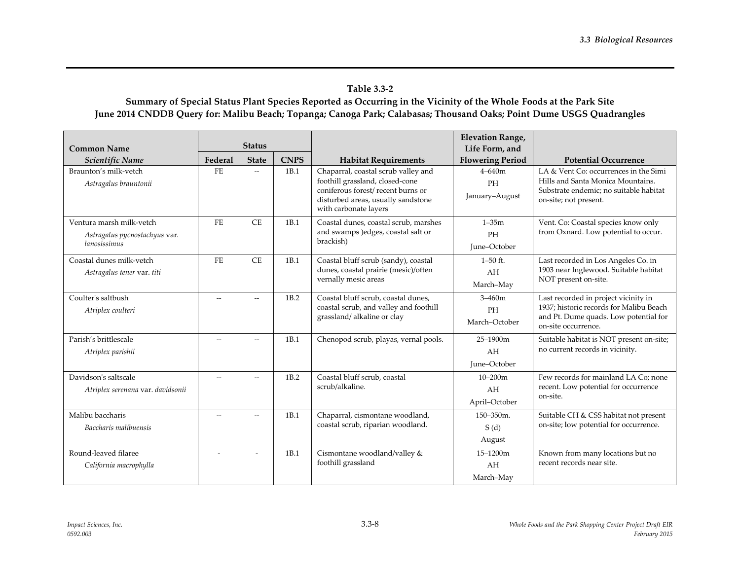## **Table 3.3-2**

## **Summary of Special Status Plant Species Reported as Occurring in the Vicinity of the Whole Foods at the Park Site June 2014 CNDDB Query for: Malibu Beach; Topanga; Canoga Park; Calabasas; Thousand Oaks; Point Dume USGS Quadrangles**

|                                   |                          |                          |             |                                                                         | <b>Elevation Range,</b> |                                                                                  |  |
|-----------------------------------|--------------------------|--------------------------|-------------|-------------------------------------------------------------------------|-------------------------|----------------------------------------------------------------------------------|--|
| <b>Common Name</b>                |                          | <b>Status</b>            |             |                                                                         | Life Form, and          |                                                                                  |  |
| Scientific Name                   | Federal                  | <b>State</b>             | <b>CNPS</b> | <b>Habitat Requirements</b>                                             | <b>Flowering Period</b> | <b>Potential Occurrence</b>                                                      |  |
| Braunton's milk-yetch             | FE                       | $\overline{\phantom{a}}$ | 1B.1        | Chaparral, coastal scrub valley and                                     | $4 - 640m$              | LA & Vent Co: occurrences in the Simi                                            |  |
| Astragalus brauntonii             |                          |                          |             | foothill grassland, closed-cone                                         | PH                      | Hills and Santa Monica Mountains.                                                |  |
|                                   |                          |                          |             | coniferous forest/recent burns or<br>disturbed areas, usually sandstone | January-August          | Substrate endemic; no suitable habitat<br>on-site; not present.                  |  |
|                                   |                          |                          |             | with carbonate layers                                                   |                         |                                                                                  |  |
| Ventura marsh milk-vetch          | $\rm FE$                 | <b>CE</b>                | 1B.1        | Coastal dunes, coastal scrub, marshes                                   | $1 - 35m$               | Vent. Co: Coastal species know only                                              |  |
| Astragalus pycnostachyus var.     |                          |                          |             | and swamps ) edges, coastal salt or<br>brackish)                        | PH                      | from Oxnard. Low potential to occur.                                             |  |
| lanosissimus                      |                          |                          |             |                                                                         | June-October            |                                                                                  |  |
| Coastal dunes milk-vetch          | FE.                      | <b>CE</b>                | 1B.1        | Coastal bluff scrub (sandy), coastal                                    | $1 - 50$ ft.            | Last recorded in Los Angeles Co. in                                              |  |
| Astragalus tener var. titi        |                          |                          |             | dunes, coastal prairie (mesic)/often<br>vernally mesic areas            | AH                      | 1903 near Inglewood. Suitable habitat<br>NOT present on-site.                    |  |
|                                   |                          |                          |             |                                                                         | March-May               |                                                                                  |  |
| Coulter's saltbush                | $\overline{\phantom{a}}$ | $\overline{\phantom{a}}$ | 1B.2        | Coastal bluff scrub, coastal dunes,                                     | $3 - 460m$              | Last recorded in project vicinity in                                             |  |
| Atriplex coulteri                 |                          |                          |             | coastal scrub, and valley and foothill<br>grassland/alkaline or clay    | PH                      | 1937; historic records for Malibu Beach<br>and Pt. Dume quads. Low potential for |  |
|                                   |                          |                          |             |                                                                         | March-October           | on-site occurrence.                                                              |  |
| Parish's brittlescale             | $\sim$                   |                          | 1B.1        | Chenopod scrub, playas, vernal pools.                                   | 25-1900m                | Suitable habitat is NOT present on-site;                                         |  |
| Atriplex parishii                 |                          |                          |             |                                                                         | AH                      | no current records in vicinity.                                                  |  |
|                                   |                          |                          |             |                                                                         | June-October            |                                                                                  |  |
| Davidson's saltscale              | $-$                      | $\sim$                   | 1B.2        | Coastal bluff scrub, coastal                                            | $10 - 200m$             | Few records for mainland LA Co; none                                             |  |
| Atriplex serenana var. davidsonii |                          |                          |             | scrub/alkaline.                                                         | AH                      | recent. Low potential for occurrence<br>on-site.                                 |  |
|                                   |                          |                          |             |                                                                         | April-October           |                                                                                  |  |
| Malibu baccharis                  | $-$                      | $\sim$                   | 1B.1        | Chaparral, cismontane woodland,                                         | 150-350m.               | Suitable CH & CSS habitat not present                                            |  |
| Baccharis malibuensis             |                          |                          |             | coastal scrub, riparian woodland.                                       | S(d)                    | on-site; low potential for occurrence.                                           |  |
|                                   |                          |                          |             |                                                                         | August                  |                                                                                  |  |
| Round-leaved filaree              |                          |                          | 1B.1        | Cismontane woodland/valley &                                            | 15-1200m                | Known from many locations but no                                                 |  |
| California macrophylla            |                          |                          |             | foothill grassland                                                      | AH                      | recent records near site.                                                        |  |
|                                   |                          |                          |             |                                                                         | March-May               |                                                                                  |  |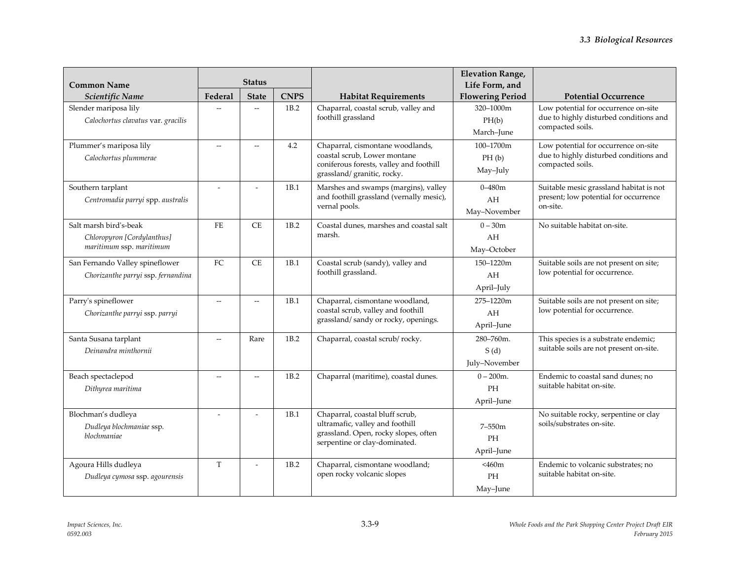|                                    | <b>Status</b>            |                          |             |                                                                           | <b>Elevation Range,</b> |                                                                                |
|------------------------------------|--------------------------|--------------------------|-------------|---------------------------------------------------------------------------|-------------------------|--------------------------------------------------------------------------------|
| <b>Common Name</b>                 |                          |                          |             |                                                                           | Life Form, and          |                                                                                |
| Scientific Name                    | Federal                  | <b>State</b>             | <b>CNPS</b> | <b>Habitat Requirements</b>                                               | <b>Flowering Period</b> | <b>Potential Occurrence</b>                                                    |
| Slender mariposa lily              |                          | $\overline{\phantom{a}}$ | 1B.2        | Chaparral, coastal scrub, valley and<br>foothill grassland                | 320-1000m               | Low potential for occurrence on-site<br>due to highly disturbed conditions and |
| Calochortus clavatus var. gracilis |                          |                          |             |                                                                           | PH(b)                   | compacted soils.                                                               |
|                                    |                          |                          |             |                                                                           | March-June              |                                                                                |
| Plummer's mariposa lily            | $\overline{a}$           | $\sim$                   | 4.2         | Chaparral, cismontane woodlands,<br>coastal scrub, Lower montane          | 100-1700m               | Low potential for occurrence on-site<br>due to highly disturbed conditions and |
| Calochortus plummerae              |                          |                          |             | coniferous forests, valley and foothill                                   | PH(b)                   | compacted soils.                                                               |
|                                    |                          |                          |             | grassland/ granitic, rocky.                                               | May-July                |                                                                                |
| Southern tarplant                  | $\overline{a}$           |                          | 1B.1        | Marshes and swamps (margins), valley                                      | $0 - 480$ m             | Suitable mesic grassland habitat is not                                        |
| Centromadia parryi spp. australis  |                          |                          |             | and foothill grassland (vernally mesic),                                  | AH                      | present; low potential for occurrence                                          |
|                                    |                          |                          |             | vernal pools.                                                             | May-November            | on-site.                                                                       |
| Salt marsh bird's-beak             | FE                       | CE                       | 1B.2        | Coastal dunes, marshes and coastal salt                                   | $0 - 30m$               | No suitable habitat on-site.                                                   |
| Chloropyron [Cordylanthus]         |                          |                          |             | marsh.                                                                    | AH                      |                                                                                |
| maritimum ssp. maritimum           |                          |                          |             |                                                                           | May-October             |                                                                                |
| San Fernando Valley spineflower    | FC                       | <b>CE</b>                | 1B.1        | Coastal scrub (sandy), valley and                                         | 150-1220m               | Suitable soils are not present on site;                                        |
| Chorizanthe parryi ssp. fernandina |                          |                          |             | foothill grassland.                                                       | AH                      | low potential for occurrence.                                                  |
|                                    |                          |                          |             |                                                                           | April-July              |                                                                                |
| Parry's spineflower                | Ξ.                       |                          | 1B.1        | Chaparral, cismontane woodland,                                           | 275-1220m               | Suitable soils are not present on site;                                        |
| Chorizanthe parryi ssp. parryi     |                          |                          |             | coastal scrub, valley and foothill<br>grassland/sandy or rocky, openings. | AH                      | low potential for occurrence.                                                  |
|                                    |                          |                          |             |                                                                           | April-June              |                                                                                |
| Santa Susana tarplant              | $\overline{\phantom{a}}$ | Rare                     | 1B.2        | Chaparral, coastal scrub/rocky.                                           | 280-760m.               | This species is a substrate endemic;                                           |
| Deinandra minthornii               |                          |                          |             |                                                                           | S(d)                    | suitable soils are not present on-site.                                        |
|                                    |                          |                          |             |                                                                           | July-November           |                                                                                |
| Beach spectaclepod                 |                          |                          | 1B.2        | Chaparral (maritime), coastal dunes.                                      | $0 - 200$ m.            | Endemic to coastal sand dunes; no                                              |
| Dithyrea maritima                  |                          |                          |             |                                                                           | PH                      | suitable habitat on-site.                                                      |
|                                    |                          |                          |             |                                                                           | April-June              |                                                                                |
| Blochman's dudleya                 |                          |                          | 1B.1        | Chaparral, coastal bluff scrub,                                           |                         | No suitable rocky, serpentine or clay                                          |
| Dudleya blochmaniae ssp.           |                          |                          |             | ultramafic, valley and foothill<br>grassland. Open, rocky slopes, often   | $7 - 550m$              | soils/substrates on-site.                                                      |
| blochmaniae                        |                          |                          |             | serpentine or clay-dominated.                                             | <b>PH</b>               |                                                                                |
|                                    |                          |                          |             |                                                                           | April-June              |                                                                                |
| Agoura Hills dudleya               | T                        |                          | 1B.2        | Chaparral, cismontane woodland;                                           | <460m                   | Endemic to volcanic substrates; no                                             |
| Dudleya cymosa ssp. agourensis     |                          |                          |             | open rocky volcanic slopes                                                | PH                      | suitable habitat on-site.                                                      |
|                                    |                          |                          |             |                                                                           | May-June                |                                                                                |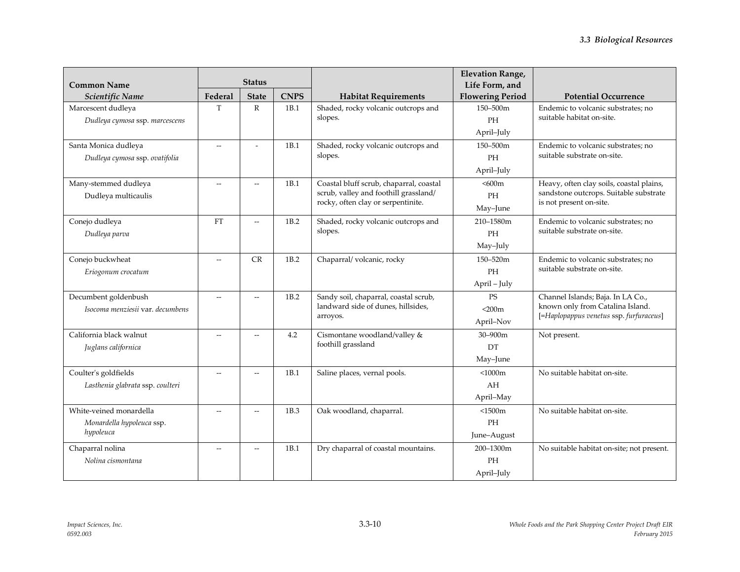| <b>Common Name</b>               | <b>Status</b>            |                          |             |                                                                             | <b>Elevation Range,</b><br>Life Form, and |                                                                             |
|----------------------------------|--------------------------|--------------------------|-------------|-----------------------------------------------------------------------------|-------------------------------------------|-----------------------------------------------------------------------------|
| Scientific Name                  | Federal                  | <b>State</b>             | <b>CNPS</b> | <b>Habitat Requirements</b>                                                 | <b>Flowering Period</b>                   | <b>Potential Occurrence</b>                                                 |
| Marcescent dudleya               | T                        | $\mathbb{R}$             | 1B.1        | Shaded, rocky volcanic outcrops and                                         | 150-500m                                  | Endemic to volcanic substrates; no                                          |
| Dudleya cymosa ssp. marcescens   |                          |                          |             | slopes.                                                                     | PH                                        | suitable habitat on-site.                                                   |
|                                  |                          |                          |             |                                                                             | April-July                                |                                                                             |
| Santa Monica dudleya             | $-$                      |                          | 1B.1        | Shaded, rocky volcanic outcrops and                                         | 150-500m                                  | Endemic to volcanic substrates; no                                          |
| Dudleya cymosa ssp. ovatifolia   |                          |                          |             | slopes.                                                                     | <b>PH</b>                                 | suitable substrate on-site.                                                 |
|                                  |                          |                          |             |                                                                             | April-July                                |                                                                             |
| Many-stemmed dudleya             | $\overline{\phantom{a}}$ | $\sim$                   | 1B.1        | Coastal bluff scrub, chaparral, coastal                                     | < 600m                                    | Heavy, often clay soils, coastal plains,                                    |
| Dudleya multicaulis              |                          |                          |             | scrub, valley and foothill grassland/<br>rocky, often clay or serpentinite. | PH                                        | sandstone outcrops. Suitable substrate                                      |
|                                  |                          |                          |             |                                                                             | May-June                                  | is not present on-site.                                                     |
| Conejo dudleya                   | <b>FT</b>                |                          | 1B.2        | Shaded, rocky volcanic outcrops and                                         | 210-1580m                                 | Endemic to volcanic substrates; no                                          |
| Dudleya parva                    |                          |                          |             | slopes.                                                                     | <b>PH</b>                                 | suitable substrate on-site.                                                 |
|                                  |                          |                          |             |                                                                             | May-July                                  |                                                                             |
| Conejo buckwheat                 | $\overline{a}$           | CR                       | 1B.2        | Chaparral/volcanic, rocky                                                   | 150-520m                                  | Endemic to volcanic substrates; no                                          |
| Eriogonum crocatum               |                          |                          |             |                                                                             | PH                                        | suitable substrate on-site.                                                 |
|                                  |                          |                          |             |                                                                             | April - July                              |                                                                             |
| Decumbent goldenbush             | $\overline{a}$           | $\sim$                   | 1B.2        | Sandy soil, chaparral, coastal scrub,                                       | <b>PS</b>                                 | Channel Islands; Baja. In LA Co.,                                           |
| Isocoma menziesii var. decumbens |                          |                          |             | landward side of dunes, hillsides,<br>arroyos.                              | $<$ 200 $m$                               | known only from Catalina Island.<br>[=Haplopappus venetus ssp. furfuraceus] |
|                                  |                          |                          |             |                                                                             | April-Nov                                 |                                                                             |
| California black walnut          | $-$                      |                          | 4.2         | Cismontane woodland/valley &                                                | $30 - 900$ m                              | Not present.                                                                |
| Juglans californica              |                          |                          |             | foothill grassland                                                          | DT                                        |                                                                             |
|                                  |                          |                          |             |                                                                             | May-June                                  |                                                                             |
| Coulter's goldfields             | $\overline{\phantom{a}}$ | $\sim$                   | 1B.1        | Saline places, vernal pools.                                                | $<$ 1000 $m$                              | No suitable habitat on-site.                                                |
| Lasthenia glabrata ssp. coulteri |                          |                          |             |                                                                             | AH                                        |                                                                             |
|                                  |                          |                          |             |                                                                             | April-May                                 |                                                                             |
| White-veined monardella          | $\overline{a}$           | $\overline{\phantom{a}}$ | 1B.3        | Oak woodland, chaparral.                                                    | $<$ 1500 $m$                              | No suitable habitat on-site.                                                |
| Monardella hypoleuca ssp.        |                          |                          |             |                                                                             | <b>PH</b>                                 |                                                                             |
| hypoleuca                        |                          |                          |             |                                                                             | June-August                               |                                                                             |
| Chaparral nolina                 | $-$                      | $\sim$                   | 1B.1        | Dry chaparral of coastal mountains.                                         | 200-1300m                                 | No suitable habitat on-site; not present.                                   |
| Nolina cismontana                |                          |                          |             |                                                                             | PH                                        |                                                                             |
|                                  |                          |                          |             |                                                                             | April-July                                |                                                                             |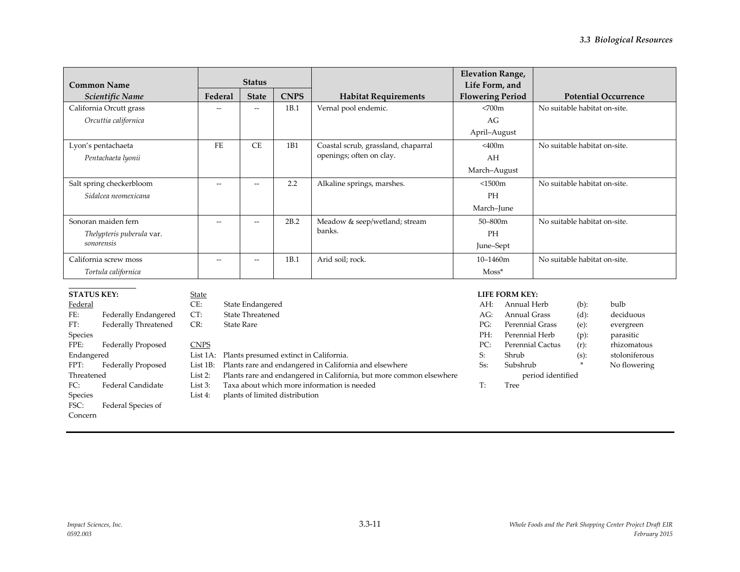| <b>Common Name</b>        | <b>Status</b> |              |             |                                     | <b>Elevation Range,</b><br>Life Form, and |                              |
|---------------------------|---------------|--------------|-------------|-------------------------------------|-------------------------------------------|------------------------------|
| Scientific Name           | Federal       | <b>State</b> | <b>CNPS</b> | <b>Habitat Requirements</b>         | <b>Flowering Period</b>                   | <b>Potential Occurrence</b>  |
| California Orcutt grass   | $-$           | $--$         | 1B.1        | Vernal pool endemic.                | <700m                                     | No suitable habitat on-site. |
| Orcuttia californica      |               |              |             |                                     | AG                                        |                              |
|                           |               |              |             |                                     | April-August                              |                              |
| Lyon's pentachaeta        | FE.           | <b>CE</b>    | 1B1         | Coastal scrub, grassland, chaparral | $<$ 400 $m$                               | No suitable habitat on-site. |
| Pentachaeta lyonii        |               |              |             | openings; often on clay.            | AH                                        |                              |
|                           |               |              |             |                                     | March-August                              |                              |
| Salt spring checkerbloom  | $-$           | $--$         | 2.2         | Alkaline springs, marshes.          | < 1500m                                   | No suitable habitat on-site. |
| Sidalcea neomexicana      |               |              |             |                                     | PH                                        |                              |
|                           |               |              |             |                                     | March-June                                |                              |
| Sonoran maiden fern       | $-$           | $- -$        | 2B.2        | Meadow & seep/wetland; stream       | $50 - 800$ m                              | No suitable habitat on-site. |
| Thelypteris puberula var. |               |              |             | banks.                              | PH                                        |                              |
| sonorensis                |               |              |             |                                     | June–Sept                                 |                              |
| California screw moss     | $-$           | $- -$        | 1B.1        | Arid soil; rock.                    | $10 - 1460m$                              | No suitable habitat on-site. |
| Tortula californica       |               |              |             |                                     | $M$ oss <sup>*</sup>                      |                              |

#### **STATUS KEY:**

## Federal

#### FE: Federally Endangered FT: Federally Threatened Species FPE: Federally Proposed Endangered FPT: Federally Proposed Threatened FC: Federal Candidate Species FSC: Federal Species of Concern

#### CT: State Threatened CR: State Rare

State Endangered

State<br>CE:

**CNPS** List 1A: Plants presumed extinct in California.

List 1B: Plants rare and endangered in California and elsewhere

List 2: Plants rare and endangered in California, but more common elsewhere

List 3: Taxa about which more information is needed

List 4: plants of limited distribution

#### **LIFE FORM KEY:**

| AH:    | Annual Herb            | $(b)$ : | bulb          |
|--------|------------------------|---------|---------------|
| AG:    | Annual Grass           | $(d)$ : | deciduous     |
| PG:    | <b>Perennial Grass</b> | $(e)$ : | evergreen     |
| PH:    | Perennial Herb         | $(p)$ : | parasitic     |
| PC:    | Perennial Cactus       | $(r)$ : | rhizomatous   |
| S:     | Shrub                  | $(s)$ : | stoloniferous |
| $Ss$ : | Subshrub               | ×.      | No flowering  |
|        | period identified      |         |               |
| т٠     | Tree                   |         |               |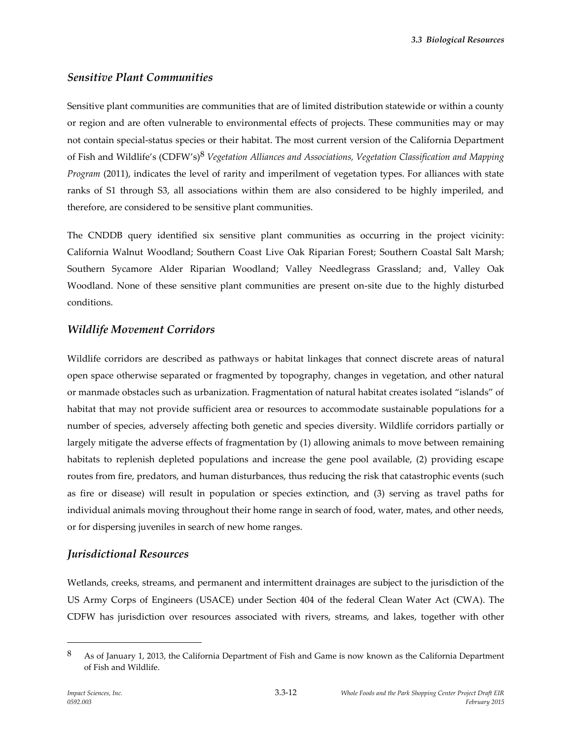*3.3 Biological Resources*

#### *Sensitive Plant Communities*

Sensitive plant communities are communities that are of limited distribution statewide or within a county or region and are often vulnerable to environmental effects of projects. These communities may or may not contain special-status species or their habitat. The most current version of the California Department of Fish and Wildlife's (CDFW's) 8 *Vegetation Alliances and Associations, Vegetation Classification and Mapping Program* (2011), indicates the level of rarity and imperilment of vegetation types. For alliances with state ranks of S1 through S3, all associations within them are also considered to be highly imperiled, and therefore, are considered to be sensitive plant communities.

The CNDDB query identified six sensitive plant communities as occurring in the project vicinity: California Walnut Woodland; Southern Coast Live Oak Riparian Forest; Southern Coastal Salt Marsh; Southern Sycamore Alder Riparian Woodland; Valley Needlegrass Grassland; and, Valley Oak Woodland. None of these sensitive plant communities are present on-site due to the highly disturbed conditions.

#### *Wildlife Movement Corridors*

Wildlife corridors are described as pathways or habitat linkages that connect discrete areas of natural open space otherwise separated or fragmented by topography, changes in vegetation, and other natural or manmade obstacles such as urbanization. Fragmentation of natural habitat creates isolated "islands" of habitat that may not provide sufficient area or resources to accommodate sustainable populations for a number of species, adversely affecting both genetic and species diversity. Wildlife corridors partially or largely mitigate the adverse effects of fragmentation by (1) allowing animals to move between remaining habitats to replenish depleted populations and increase the gene pool available, (2) providing escape routes from fire, predators, and human disturbances, thus reducing the risk that catastrophic events (such as fire or disease) will result in population or species extinction, and (3) serving as travel paths for individual animals moving throughout their home range in search of food, water, mates, and other needs, or for dispersing juveniles in search of new home ranges.

## *Jurisdictional Resources*

Wetlands, creeks, streams, and permanent and intermittent drainages are subject to the jurisdiction of the US Army Corps of Engineers (USACE) under Section 404 of the federal Clean Water Act (CWA). The CDFW has jurisdiction over resources associated with rivers, streams, and lakes, together with other

<sup>8</sup> As of January 1, 2013, the California Department of Fish and Game is now known as the California Department of Fish and Wildlife.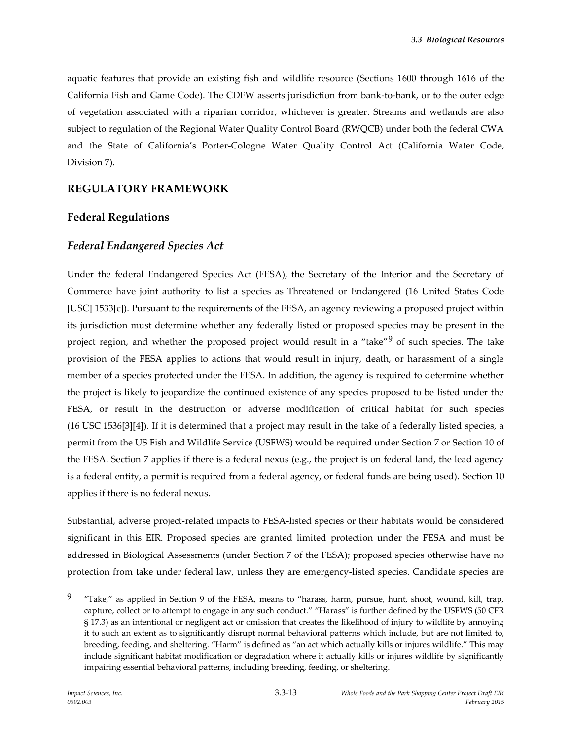aquatic features that provide an existing fish and wildlife resource (Sections 1600 through 1616 of the California Fish and Game Code). The CDFW asserts jurisdiction from bank-to-bank, or to the outer edge of vegetation associated with a riparian corridor, whichever is greater. Streams and wetlands are also subject to regulation of the Regional Water Quality Control Board (RWQCB) under both the federal CWA and the State of California's Porter-Cologne Water Quality Control Act (California Water Code, Division 7).

#### **REGULATORY FRAMEWORK**

#### **Federal Regulations**

#### *Federal Endangered Species Act*

Under the federal Endangered Species Act (FESA), the Secretary of the Interior and the Secretary of Commerce have joint authority to list a species as Threatened or Endangered (16 United States Code [USC] 1533[c]). Pursuant to the requirements of the FESA, an agency reviewing a proposed project within its jurisdiction must determine whether any federally listed or proposed species may be present in the project region, and whether the proposed project would result in a "take"<sup>9</sup> of such species. The take provision of the FESA applies to actions that would result in injury, death, or harassment of a single member of a species protected under the FESA. In addition, the agency is required to determine whether the project is likely to jeopardize the continued existence of any species proposed to be listed under the FESA, or result in the destruction or adverse modification of critical habitat for such species (16 USC 1536[3][4]). If it is determined that a project may result in the take of a federally listed species, a permit from the US Fish and Wildlife Service (USFWS) would be required under Section 7 or Section 10 of the FESA. Section 7 applies if there is a federal nexus (e.g., the project is on federal land, the lead agency is a federal entity, a permit is required from a federal agency, or federal funds are being used). Section 10 applies if there is no federal nexus.

Substantial, adverse project-related impacts to FESA-listed species or their habitats would be considered significant in this EIR. Proposed species are granted limited protection under the FESA and must be addressed in Biological Assessments (under Section 7 of the FESA); proposed species otherwise have no protection from take under federal law, unless they are emergency-listed species. Candidate species are

<sup>9</sup> "Take," as applied in Section 9 of the FESA, means to "harass, harm, pursue, hunt, shoot, wound, kill, trap, capture, collect or to attempt to engage in any such conduct." "Harass" is further defined by the USFWS (50 CFR § 17.3) as an intentional or negligent act or omission that creates the likelihood of injury to wildlife by annoying it to such an extent as to significantly disrupt normal behavioral patterns which include, but are not limited to, breeding, feeding, and sheltering. "Harm" is defined as "an act which actually kills or injures wildlife." This may include significant habitat modification or degradation where it actually kills or injures wildlife by significantly impairing essential behavioral patterns, including breeding, feeding, or sheltering.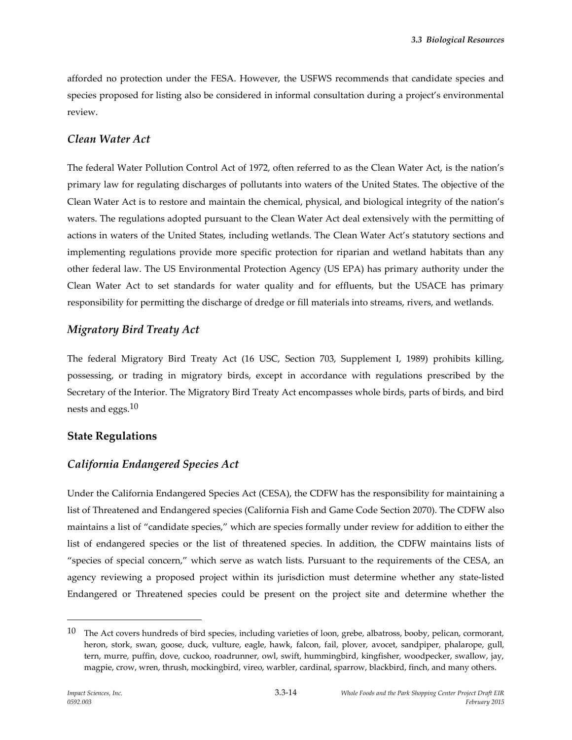afforded no protection under the FESA. However, the USFWS recommends that candidate species and species proposed for listing also be considered in informal consultation during a project's environmental review.

## *Clean Water Act*

The federal Water Pollution Control Act of 1972, often referred to as the Clean Water Act, is the nation's primary law for regulating discharges of pollutants into waters of the United States. The objective of the Clean Water Act is to restore and maintain the chemical, physical, and biological integrity of the nation's waters. The regulations adopted pursuant to the Clean Water Act deal extensively with the permitting of actions in waters of the United States, including wetlands. The Clean Water Act's statutory sections and implementing regulations provide more specific protection for riparian and wetland habitats than any other federal law. The US Environmental Protection Agency (US EPA) has primary authority under the Clean Water Act to set standards for water quality and for effluents, but the USACE has primary responsibility for permitting the discharge of dredge or fill materials into streams, rivers, and wetlands.

#### *Migratory Bird Treaty Act*

The federal Migratory Bird Treaty Act (16 USC, Section 703, Supplement I, 1989) prohibits killing, possessing, or trading in migratory birds, except in accordance with regulations prescribed by the Secretary of the Interior. The Migratory Bird Treaty Act encompasses whole birds, parts of birds, and bird nests and eggs.<sup>10</sup>

## **State Regulations**

## *California Endangered Species Act*

Under the California Endangered Species Act (CESA), the CDFW has the responsibility for maintaining a list of Threatened and Endangered species (California Fish and Game Code Section 2070). The CDFW also maintains a list of "candidate species," which are species formally under review for addition to either the list of endangered species or the list of threatened species. In addition, the CDFW maintains lists of "species of special concern," which serve as watch lists. Pursuant to the requirements of the CESA, an agency reviewing a proposed project within its jurisdiction must determine whether any state-listed Endangered or Threatened species could be present on the project site and determine whether the

 $10$  The Act covers hundreds of bird species, including varieties of loon, grebe, albatross, booby, pelican, cormorant, heron, stork, swan, goose, duck, vulture, eagle, hawk, falcon, fail, plover, avocet, sandpiper, phalarope, gull, tern, murre, puffin, dove, cuckoo, roadrunner, owl, swift, hummingbird, kingfisher, woodpecker, swallow, jay, magpie, crow, wren, thrush, mockingbird, vireo, warbler, cardinal, sparrow, blackbird, finch, and many others.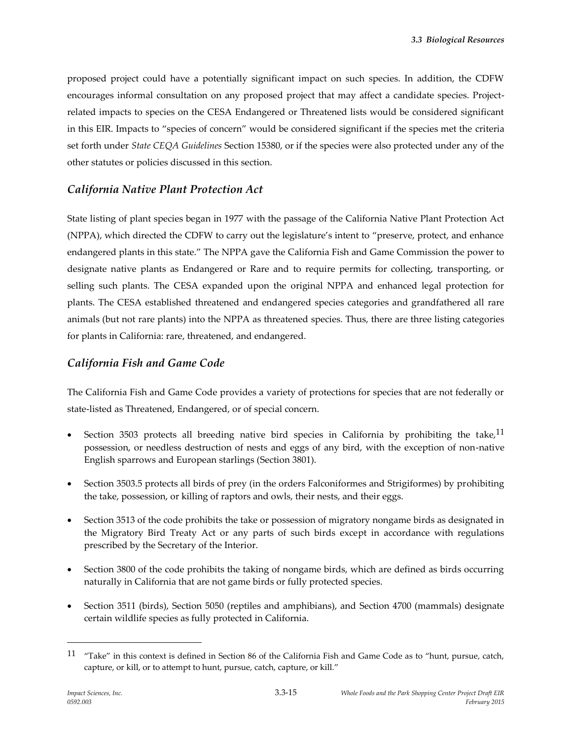proposed project could have a potentially significant impact on such species. In addition, the CDFW encourages informal consultation on any proposed project that may affect a candidate species. Projectrelated impacts to species on the CESA Endangered or Threatened lists would be considered significant in this EIR. Impacts to "species of concern" would be considered significant if the species met the criteria set forth under *State CEQA Guidelines* Section 15380, or if the species were also protected under any of the other statutes or policies discussed in this section.

## *California Native Plant Protection Act*

State listing of plant species began in 1977 with the passage of the California Native Plant Protection Act (NPPA), which directed the CDFW to carry out the legislature's intent to "preserve, protect, and enhance endangered plants in this state." The NPPA gave the California Fish and Game Commission the power to designate native plants as Endangered or Rare and to require permits for collecting, transporting, or selling such plants. The CESA expanded upon the original NPPA and enhanced legal protection for plants. The CESA established threatened and endangered species categories and grandfathered all rare animals (but not rare plants) into the NPPA as threatened species. Thus, there are three listing categories for plants in California: rare, threatened, and endangered.

## *California Fish and Game Code*

The California Fish and Game Code provides a variety of protections for species that are not federally or state-listed as Threatened, Endangered, or of special concern.

- Section 3503 protects all breeding native bird species in California by prohibiting the take,  $11$ possession, or needless destruction of nests and eggs of any bird, with the exception of non-native English sparrows and European starlings (Section 3801).
- Section 3503.5 protects all birds of prey (in the orders Falconiformes and Strigiformes) by prohibiting the take, possession, or killing of raptors and owls, their nests, and their eggs.
- Section 3513 of the code prohibits the take or possession of migratory nongame birds as designated in the Migratory Bird Treaty Act or any parts of such birds except in accordance with regulations prescribed by the Secretary of the Interior.
- Section 3800 of the code prohibits the taking of nongame birds, which are defined as birds occurring naturally in California that are not game birds or fully protected species.
- Section 3511 (birds), Section 5050 (reptiles and amphibians), and Section 4700 (mammals) designate certain wildlife species as fully protected in California.

<sup>11</sup> "Take" in this context is defined in Section 86 of the California Fish and Game Code as to "hunt, pursue, catch, capture, or kill, or to attempt to hunt, pursue, catch, capture, or kill."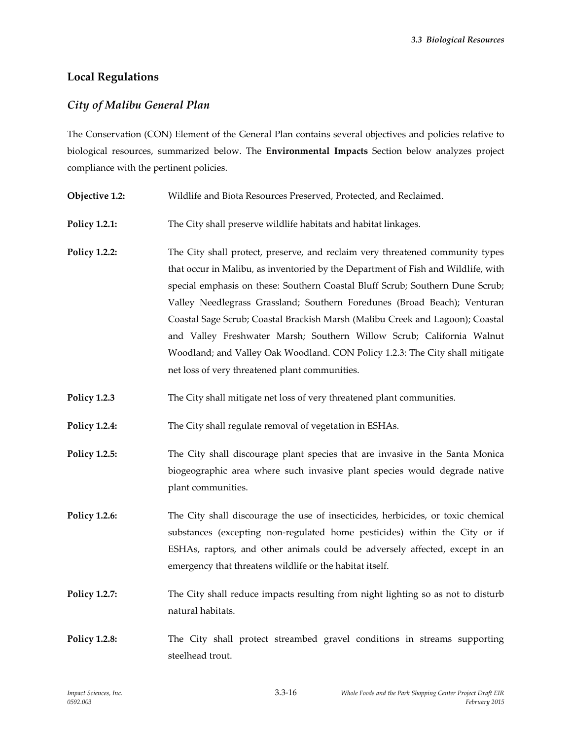# **Local Regulations**

## *City of Malibu General Plan*

The Conservation (CON) Element of the General Plan contains several objectives and policies relative to biological resources, summarized below. The **Environmental Impacts** Section below analyzes project compliance with the pertinent policies.

- **Objective 1.2:** Wildlife and Biota Resources Preserved, Protected, and Reclaimed.
- **Policy 1.2.1:** The City shall preserve wildlife habitats and habitat linkages.
- **Policy 1.2.2:** The City shall protect, preserve, and reclaim very threatened community types that occur in Malibu, as inventoried by the Department of Fish and Wildlife, with special emphasis on these: Southern Coastal Bluff Scrub; Southern Dune Scrub; Valley Needlegrass Grassland; Southern Foredunes (Broad Beach); Venturan Coastal Sage Scrub; Coastal Brackish Marsh (Malibu Creek and Lagoon); Coastal and Valley Freshwater Marsh; Southern Willow Scrub; California Walnut Woodland; and Valley Oak Woodland. CON Policy 1.2.3: The City shall mitigate net loss of very threatened plant communities.
- **Policy 1.2.3** The City shall mitigate net loss of very threatened plant communities.

**Policy 1.2.4:** The City shall regulate removal of vegetation in ESHAs.

- **Policy 1.2.5:** The City shall discourage plant species that are invasive in the Santa Monica biogeographic area where such invasive plant species would degrade native plant communities.
- **Policy 1.2.6:** The City shall discourage the use of insecticides, herbicides, or toxic chemical substances (excepting non‐regulated home pesticides) within the City or if ESHAs, raptors, and other animals could be adversely affected, except in an emergency that threatens wildlife or the habitat itself.
- **Policy 1.2.7:** The City shall reduce impacts resulting from night lighting so as not to disturb natural habitats.
- **Policy 1.2.8:** The City shall protect streambed gravel conditions in streams supporting steelhead trout.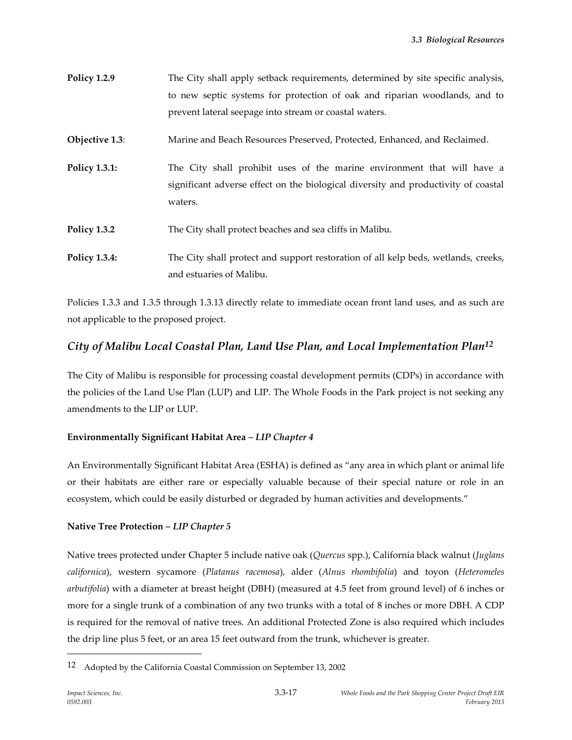| <b>Policy 1.2.9</b> | The City shall apply setback requirements, determined by site specific analysis, |
|---------------------|----------------------------------------------------------------------------------|
|                     | to new septic systems for protection of oak and riparian woodlands, and to       |
|                     | prevent lateral seepage into stream or coastal waters.                           |
| Objective 1.3:      | Marine and Beach Resources Preserved, Protected, Enhanced, and Reclaimed.        |

**Policy 1.3.1:** The City shall prohibit uses of the marine environment that will have a significant adverse effect on the biological diversity and productivity of coastal waters.

- **Policy 1.3.2** The City shall protect beaches and sea cliffs in Malibu.
- **Policy 1.3.4:** The City shall protect and support restoration of all kelp beds, wetlands, creeks, and estuaries of Malibu.

Policies 1.3.3 and 1.3.5 through 1.3.13 directly relate to immediate ocean front land uses, and as such are not applicable to the proposed project.

## *City of Malibu Local Coastal Plan, Land Use Plan, and Local Implementation Plan12*

The City of Malibu is responsible for processing coastal development permits (CDPs) in accordance with the policies of the Land Use Plan (LUP) and LIP. The Whole Foods in the Park project is not seeking any amendments to the LIP or LUP.

## **Environmentally Significant Habitat Area** *– LIP Chapter 4*

An Environmentally Significant Habitat Area (ESHA) is defined as "any area in which plant or animal life or their habitats are either rare or especially valuable because of their special nature or role in an ecosystem, which could be easily disturbed or degraded by human activities and developments."

#### **Native Tree Protection** *– LIP Chapter 5*

Native trees protected under Chapter 5 include native oak (*Quercus* spp.), California black walnut (*Juglans californica*), western sycamore (*Platanus racemosa*), alder (*Alnus rhombifolia*) and toyon (*Heteromeles arbutifolia*) with a diameter at breast height (DBH) (measured at 4.5 feet from ground level) of 6 inches or more for a single trunk of a combination of any two trunks with a total of 8 inches or more DBH. A CDP is required for the removal of native trees. An additional Protected Zone is also required which includes the drip line plus 5 feet, or an area 15 feet outward from the trunk, whichever is greater.

<sup>12</sup> Adopted by the California Coastal Commission on September 13, 2002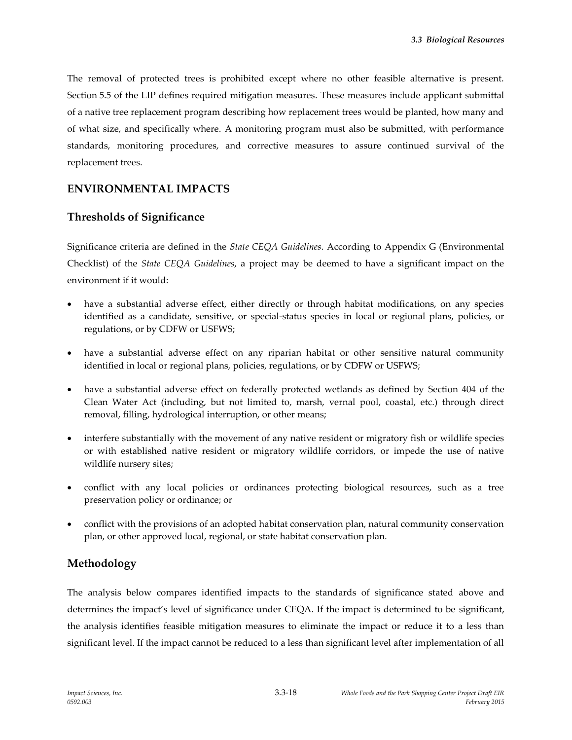The removal of protected trees is prohibited except where no other feasible alternative is present. Section 5.5 of the LIP defines required mitigation measures. These measures include applicant submittal of a native tree replacement program describing how replacement trees would be planted, how many and of what size, and specifically where. A monitoring program must also be submitted, with performance standards, monitoring procedures, and corrective measures to assure continued survival of the replacement trees.

## **ENVIRONMENTAL IMPACTS**

## **Thresholds of Significance**

Significance criteria are defined in the *State CEQA Guidelines*. According to Appendix G (Environmental Checklist) of the *State CEQA Guidelines*, a project may be deemed to have a significant impact on the environment if it would:

- have a substantial adverse effect, either directly or through habitat modifications, on any species identified as a candidate, sensitive, or special-status species in local or regional plans, policies, or regulations, or by CDFW or USFWS;
- have a substantial adverse effect on any riparian habitat or other sensitive natural community identified in local or regional plans, policies, regulations, or by CDFW or USFWS;
- have a substantial adverse effect on federally protected wetlands as defined by Section 404 of the Clean Water Act (including, but not limited to, marsh, vernal pool, coastal, etc.) through direct removal, filling, hydrological interruption, or other means;
- interfere substantially with the movement of any native resident or migratory fish or wildlife species or with established native resident or migratory wildlife corridors, or impede the use of native wildlife nursery sites;
- conflict with any local policies or ordinances protecting biological resources, such as a tree preservation policy or ordinance; or
- conflict with the provisions of an adopted habitat conservation plan, natural community conservation plan, or other approved local, regional, or state habitat conservation plan.

## **Methodology**

The analysis below compares identified impacts to the standards of significance stated above and determines the impact's level of significance under CEQA. If the impact is determined to be significant, the analysis identifies feasible mitigation measures to eliminate the impact or reduce it to a less than significant level. If the impact cannot be reduced to a less than significant level after implementation of all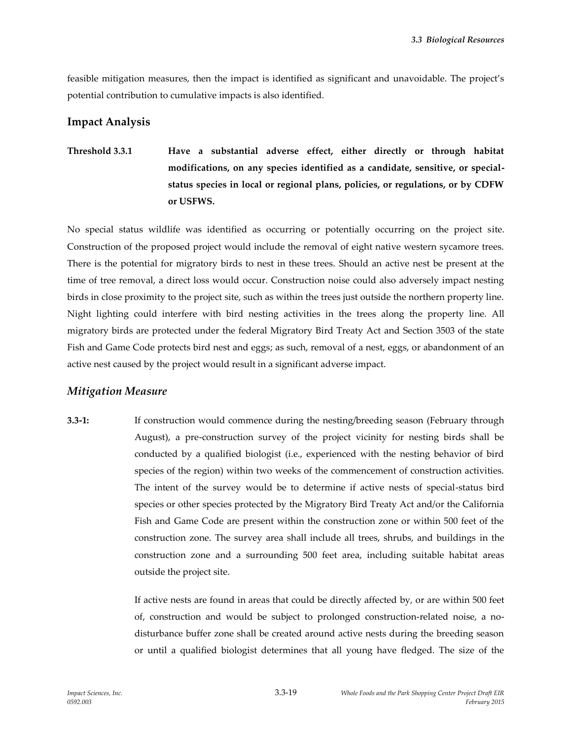feasible mitigation measures, then the impact is identified as significant and unavoidable. The project's potential contribution to cumulative impacts is also identified.

## **Impact Analysis**

**Threshold 3.3.1 Have a substantial adverse effect, either directly or through habitat modifications, on any species identified as a candidate, sensitive, or specialstatus species in local or regional plans, policies, or regulations, or by CDFW or USFWS.**

No special status wildlife was identified as occurring or potentially occurring on the project site. Construction of the proposed project would include the removal of eight native western sycamore trees. There is the potential for migratory birds to nest in these trees. Should an active nest be present at the time of tree removal, a direct loss would occur. Construction noise could also adversely impact nesting birds in close proximity to the project site, such as within the trees just outside the northern property line. Night lighting could interfere with bird nesting activities in the trees along the property line. All migratory birds are protected under the federal Migratory Bird Treaty Act and Section 3503 of the state Fish and Game Code protects bird nest and eggs; as such, removal of a nest, eggs, or abandonment of an active nest caused by the project would result in a significant adverse impact.

## *Mitigation Measure*

**3.3-1:** If construction would commence during the nesting/breeding season (February through August), a pre-construction survey of the project vicinity for nesting birds shall be conducted by a qualified biologist (i.e., experienced with the nesting behavior of bird species of the region) within two weeks of the commencement of construction activities. The intent of the survey would be to determine if active nests of special-status bird species or other species protected by the Migratory Bird Treaty Act and/or the California Fish and Game Code are present within the construction zone or within 500 feet of the construction zone. The survey area shall include all trees, shrubs, and buildings in the construction zone and a surrounding 500 feet area, including suitable habitat areas outside the project site.

> If active nests are found in areas that could be directly affected by, or are within 500 feet of, construction and would be subject to prolonged construction-related noise, a nodisturbance buffer zone shall be created around active nests during the breeding season or until a qualified biologist determines that all young have fledged. The size of the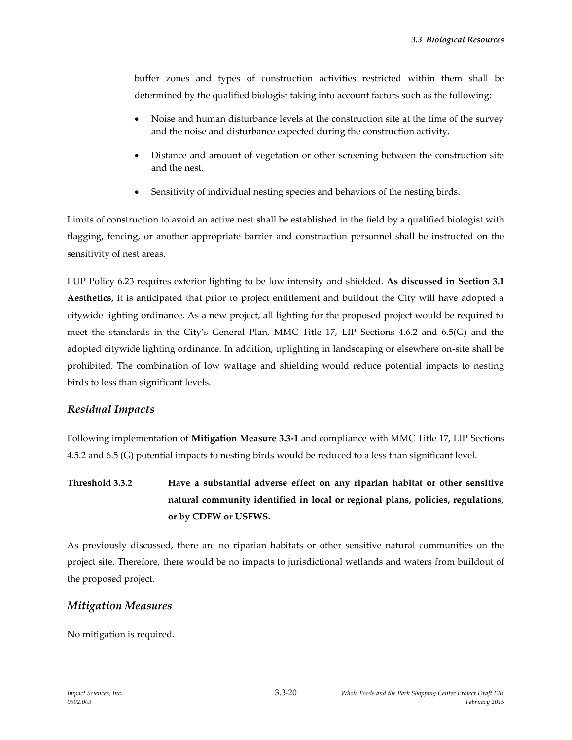buffer zones and types of construction activities restricted within them shall be determined by the qualified biologist taking into account factors such as the following:

- Noise and human disturbance levels at the construction site at the time of the survey and the noise and disturbance expected during the construction activity.
- Distance and amount of vegetation or other screening between the construction site and the nest.
- Sensitivity of individual nesting species and behaviors of the nesting birds.

Limits of construction to avoid an active nest shall be established in the field by a qualified biologist with flagging, fencing, or another appropriate barrier and construction personnel shall be instructed on the sensitivity of nest areas.

LUP Policy 6.23 requires exterior lighting to be low intensity and shielded. **As discussed in Section 3.1 Aesthetics,** it is anticipated that prior to project entitlement and buildout the City will have adopted a citywide lighting ordinance. As a new project, all lighting for the proposed project would be required to meet the standards in the City's General Plan, MMC Title 17, LIP Sections 4.6.2 and 6.5(G) and the adopted citywide lighting ordinance. In addition, uplighting in landscaping or elsewhere on-site shall be prohibited. The combination of low wattage and shielding would reduce potential impacts to nesting birds to less than significant levels.

#### *Residual Impacts*

Following implementation of **Mitigation Measure 3.3-1** and compliance with MMC Title 17, LIP Sections 4.5.2 and 6.5 (G) potential impacts to nesting birds would be reduced to a less than significant level.

**Threshold 3.3.2 Have a substantial adverse effect on any riparian habitat or other sensitive natural community identified in local or regional plans, policies, regulations, or by CDFW or USFWS.**

As previously discussed, there are no riparian habitats or other sensitive natural communities on the project site. Therefore, there would be no impacts to jurisdictional wetlands and waters from buildout of the proposed project.

## *Mitigation Measures*

No mitigation is required.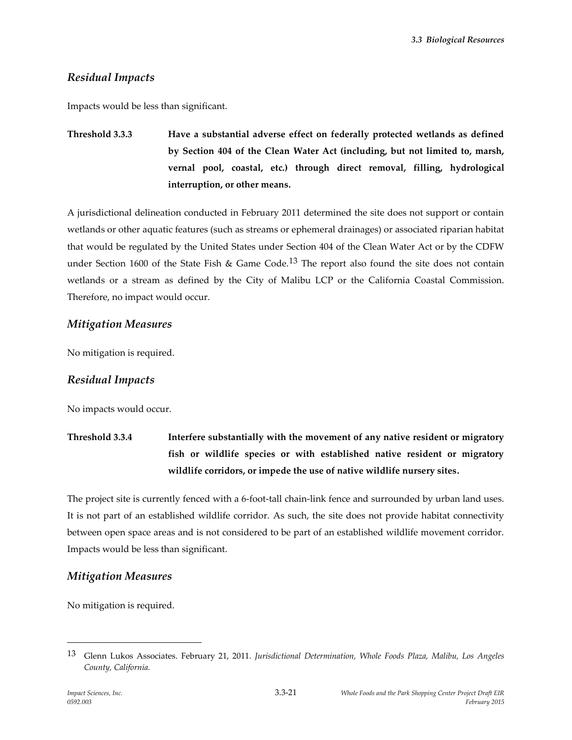# *Residual Impacts*

Impacts would be less than significant.

**Threshold 3.3.3 Have a substantial adverse effect on federally protected wetlands as defined by Section 404 of the Clean Water Act (including, but not limited to, marsh, vernal pool, coastal, etc.) through direct removal, filling, hydrological interruption, or other means.**

A jurisdictional delineation conducted in February 2011 determined the site does not support or contain wetlands or other aquatic features (such as streams or ephemeral drainages) or associated riparian habitat that would be regulated by the United States under Section 404 of the Clean Water Act or by the CDFW under Section 1600 of the State Fish & Game Code.<sup>13</sup> The report also found the site does not contain wetlands or a stream as defined by the City of Malibu LCP or the California Coastal Commission. Therefore, no impact would occur.

## *Mitigation Measures*

No mitigation is required.

## *Residual Impacts*

No impacts would occur.

**Threshold 3.3.4 Interfere substantially with the movement of any native resident or migratory fish or wildlife species or with established native resident or migratory wildlife corridors, or impede the use of native wildlife nursery sites.**

The project site is currently fenced with a 6-foot-tall chain-link fence and surrounded by urban land uses. It is not part of an established wildlife corridor. As such, the site does not provide habitat connectivity between open space areas and is not considered to be part of an established wildlife movement corridor. Impacts would be less than significant.

## *Mitigation Measures*

No mitigation is required.

<sup>13</sup> Glenn Lukos Associates. February 21, 2011. *Jurisdictional Determination, Whole Foods Plaza, Malibu, Los Angeles County, California.*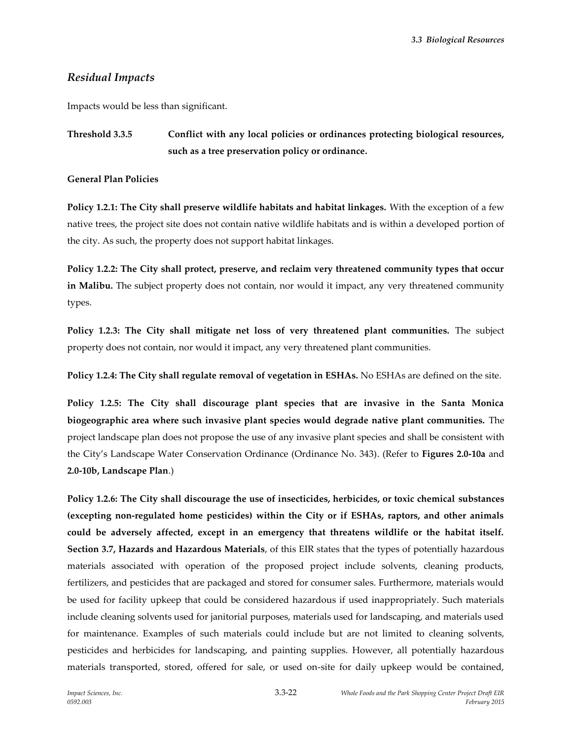## *Residual Impacts*

Impacts would be less than significant.

# **Threshold 3.3.5 Conflict with any local policies or ordinances protecting biological resources, such as a tree preservation policy or ordinance.**

**General Plan Policies**

**Policy 1.2.1: The City shall preserve wildlife habitats and habitat linkages.** With the exception of a few native trees, the project site does not contain native wildlife habitats and is within a developed portion of the city. As such, the property does not support habitat linkages.

**Policy 1.2.2: The City shall protect, preserve, and reclaim very threatened community types that occur in Malibu.** The subject property does not contain, nor would it impact, any very threatened community types.

**Policy 1.2.3: The City shall mitigate net loss of very threatened plant communities.** The subject property does not contain, nor would it impact, any very threatened plant communities.

**Policy 1.2.4: The City shall regulate removal of vegetation in ESHAs.** No ESHAs are defined on the site.

**Policy 1.2.5: The City shall discourage plant species that are invasive in the Santa Monica biogeographic area where such invasive plant species would degrade native plant communities.** The project landscape plan does not propose the use of any invasive plant species and shall be consistent with the City's Landscape Water Conservation Ordinance (Ordinance No. 343). (Refer to **Figures 2.0-10a** and **2.0-10b, Landscape Plan**.)

**Policy 1.2.6: The City shall discourage the use of insecticides, herbicides, or toxic chemical substances (excepting non‐regulated home pesticides) within the City or if ESHAs, raptors, and other animals could be adversely affected, except in an emergency that threatens wildlife or the habitat itself. Section 3.7, Hazards and Hazardous Materials**, of this EIR states that the types of potentially hazardous materials associated with operation of the proposed project include solvents, cleaning products, fertilizers, and pesticides that are packaged and stored for consumer sales. Furthermore, materials would be used for facility upkeep that could be considered hazardous if used inappropriately. Such materials include cleaning solvents used for janitorial purposes, materials used for landscaping, and materials used for maintenance. Examples of such materials could include but are not limited to cleaning solvents, pesticides and herbicides for landscaping, and painting supplies. However, all potentially hazardous materials transported, stored, offered for sale, or used on-site for daily upkeep would be contained,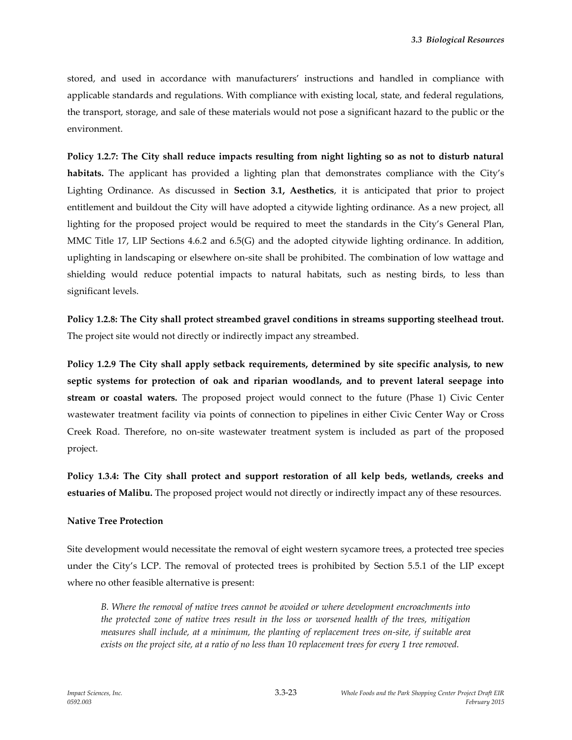stored, and used in accordance with manufacturers' instructions and handled in compliance with applicable standards and regulations. With compliance with existing local, state, and federal regulations, the transport, storage, and sale of these materials would not pose a significant hazard to the public or the environment.

**Policy 1.2.7: The City shall reduce impacts resulting from night lighting so as not to disturb natural habitats.** The applicant has provided a lighting plan that demonstrates compliance with the City's Lighting Ordinance. As discussed in **Section 3.1, Aesthetics**, it is anticipated that prior to project entitlement and buildout the City will have adopted a citywide lighting ordinance. As a new project, all lighting for the proposed project would be required to meet the standards in the City's General Plan, MMC Title 17, LIP Sections 4.6.2 and 6.5(G) and the adopted citywide lighting ordinance. In addition, uplighting in landscaping or elsewhere on-site shall be prohibited. The combination of low wattage and shielding would reduce potential impacts to natural habitats, such as nesting birds, to less than significant levels.

**Policy 1.2.8: The City shall protect streambed gravel conditions in streams supporting steelhead trout.**  The project site would not directly or indirectly impact any streambed.

**Policy 1.2.9 The City shall apply setback requirements, determined by site specific analysis, to new septic systems for protection of oak and riparian woodlands, and to prevent lateral seepage into stream or coastal waters.** The proposed project would connect to the future (Phase 1) Civic Center wastewater treatment facility via points of connection to pipelines in either Civic Center Way or Cross Creek Road. Therefore, no on-site wastewater treatment system is included as part of the proposed project.

**Policy 1.3.4: The City shall protect and support restoration of all kelp beds, wetlands, creeks and estuaries of Malibu.** The proposed project would not directly or indirectly impact any of these resources.

#### **Native Tree Protection**

Site development would necessitate the removal of eight western sycamore trees, a protected tree species under the City's LCP. The removal of protected trees is prohibited by Section 5.5.1 of the LIP except where no other feasible alternative is present:

*B. Where the removal of native trees cannot be avoided or where development encroachments into the protected zone of native trees result in the loss or worsened health of the trees, mitigation measures shall include, at a minimum, the planting of replacement trees on-site, if suitable area exists on the project site, at a ratio of no less than 10 replacement trees for every 1 tree removed.*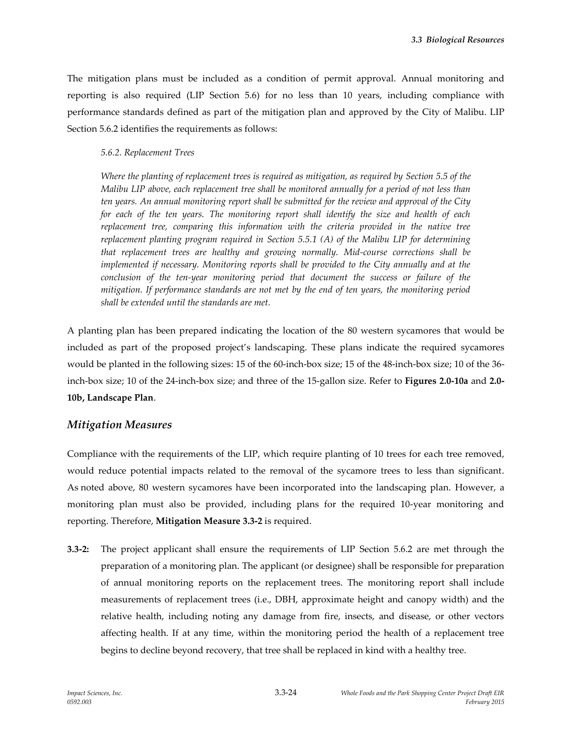The mitigation plans must be included as a condition of permit approval. Annual monitoring and reporting is also required (LIP Section 5.6) for no less than 10 years, including compliance with performance standards defined as part of the mitigation plan and approved by the City of Malibu. LIP Section 5.6.2 identifies the requirements as follows:

#### *5.6.2. Replacement Trees*

*Where the planting of replacement trees is required as mitigation, as required by Section 5.5 of the Malibu LIP above, each replacement tree shall be monitored annually for a period of not less than ten years. An annual monitoring report shall be submitted for the review and approval of the City for each of the ten years. The monitoring report shall identify the size and health of each replacement tree, comparing this information with the criteria provided in the native tree replacement planting program required in Section 5.5.1 (A) of the Malibu LIP for determining that replacement trees are healthy and growing normally. Mid-course corrections shall be implemented if necessary. Monitoring reports shall be provided to the City annually and at the conclusion of the ten-year monitoring period that document the success or failure of the mitigation. If performance standards are not met by the end of ten years, the monitoring period shall be extended until the standards are met.*

A planting plan has been prepared indicating the location of the 80 western sycamores that would be included as part of the proposed project's landscaping. These plans indicate the required sycamores would be planted in the following sizes: 15 of the 60-inch-box size; 15 of the 48-inch-box size; 10 of the 36 inch-box size; 10 of the 24-inch-box size; and three of the 15-gallon size. Refer to **Figures 2.0-10a** and **2.0- 10b, Landscape Plan**.

## *Mitigation Measures*

Compliance with the requirements of the LIP, which require planting of 10 trees for each tree removed, would reduce potential impacts related to the removal of the sycamore trees to less than significant. As noted above, 80 western sycamores have been incorporated into the landscaping plan. However, a monitoring plan must also be provided, including plans for the required 10-year monitoring and reporting. Therefore, **Mitigation Measure 3.3-2** is required.

**3.3-2:** The project applicant shall ensure the requirements of LIP Section 5.6.2 are met through the preparation of a monitoring plan. The applicant (or designee) shall be responsible for preparation of annual monitoring reports on the replacement trees. The monitoring report shall include measurements of replacement trees (i.e., DBH, approximate height and canopy width) and the relative health, including noting any damage from fire, insects, and disease, or other vectors affecting health. If at any time, within the monitoring period the health of a replacement tree begins to decline beyond recovery, that tree shall be replaced in kind with a healthy tree.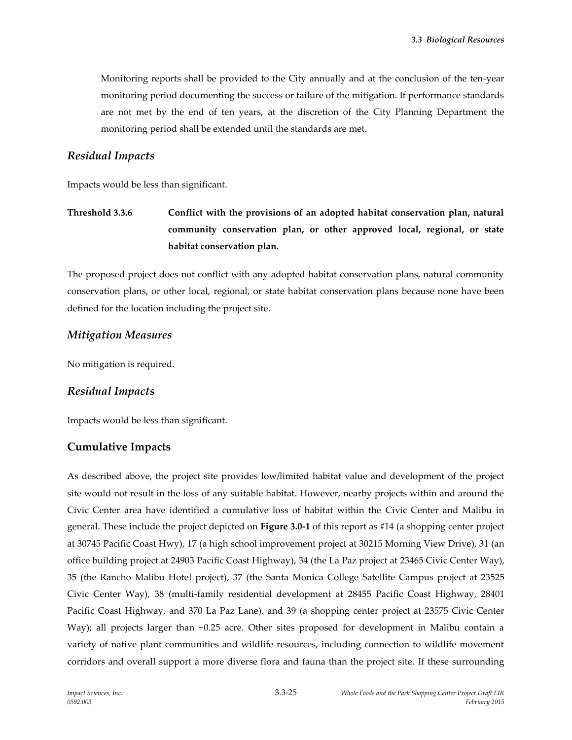Monitoring reports shall be provided to the City annually and at the conclusion of the ten-year monitoring period documenting the success or failure of the mitigation. If performance standards are not met by the end of ten years, at the discretion of the City Planning Department the monitoring period shall be extended until the standards are met.

#### *Residual Impacts*

Impacts would be less than significant.

**Threshold 3.3.6 Conflict with the provisions of an adopted habitat conservation plan, natural community conservation plan, or other approved local, regional, or state habitat conservation plan.**

The proposed project does not conflict with any adopted habitat conservation plans, natural community conservation plans, or other local, regional, or state habitat conservation plans because none have been defined for the location including the project site.

## *Mitigation Measures*

No mitigation is required.

#### *Residual Impacts*

Impacts would be less than significant.

## **Cumulative Impacts**

As described above, the project site provides low/limited habitat value and development of the project site would not result in the loss of any suitable habitat. However, nearby projects within and around the Civic Center area have identified a cumulative loss of habitat within the Civic Center and Malibu in general. These include the project depicted on **Figure 3.0-1** of this report as #14 (a shopping center project at 30745 Pacific Coast Hwy), 17 (a high school improvement project at 30215 Morning View Drive), 31 (an office building project at 24903 Pacific Coast Highway), 34 (the La Paz project at 23465 Civic Center Way), 35 (the Rancho Malibu Hotel project), 37 (the Santa Monica College Satellite Campus project at 23525 Civic Center Way), 38 (multi-family residential development at 28455 Pacific Coast Highway, 28401 Pacific Coast Highway, and 370 La Paz Lane), and 39 (a shopping center project at 23575 Civic Center Way); all projects larger than  $\sim 0.25$  acre. Other sites proposed for development in Malibu contain a variety of native plant communities and wildlife resources, including connection to wildlife movement corridors and overall support a more diverse flora and fauna than the project site. If these surrounding